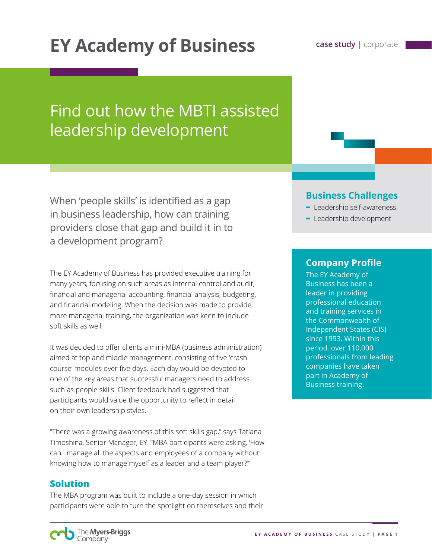# **EY Academy of Business Case study | corporate**

## Find out how the MBTI assisted leadership development

When 'people skills' is identified as a gap in business leadership, how can training providers close that gap and build it in to a development program?

The EY Academy of Business has provided executive training for many years, focusing on such areas as internal control and audit, financial and managerial accounting, financial analysis, budgeting, and financial modeling. When the decision was made to provide more managerial training, the organization was keen to include soft skills as well.

It was decided to offer clients a mini-MBA (business administration) aimed at top and middle management, consisting of five 'crash course' modules over five days. Each day would be devoted to one of the key areas that successful managers need to address, such as people skills. Client feedback had suggested that participants would value the opportunity to reflect in detail on their own leadership styles.

"There was a growing awareness of this soft skills gap," says Tatiana Timoshina, Senior Manager, EY. "MBA participants were asking, 'How can I manage all the aspects and employees of a company without knowing how to manage myself as a leader and a team player?'"

#### **Solution**

The MBA program was built to include a one-day session in which participants were able to turn the spotlight on themselves and their

#### **Business Challenges**

- **-** Leadership self-awareness
- **-** Leadership development

#### **Company Profile**

The EY Academy of Business has been a leader in providing professional education and training services in the Commonwealth of Independent States (CIS) since 1993. Within this period, over 110,000 professionals from leading companies have taken part in Academy of Business training.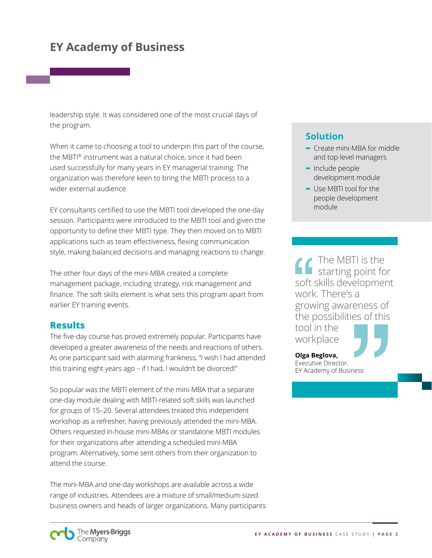## **EY Academy of Business**

leadership style. It was considered one of the most crucial days of the program.

When it came to choosing a tool to underpin this part of the course, the MBTI® instrument was a natural choice, since it had been used successfully for many years in EY managerial training. The organization was therefore keen to bring the MBTI process to a wider external audience.

EY consultants certified to use the MBTI tool developed the one-day session. Participants were introduced to the MBTI tool and given the opportunity to define their MBTI type. They then moved on to MBTI applications such as team effectiveness, flexing communication style, making balanced decisions and managing reactions to change.

The other four days of the mini-MBA created a complete management package, including strategy, risk management and finance. The soft skills element is what sets this program apart from earlier EY training events.

#### **Results**

The five-day course has proved extremely popular. Participants have developed a greater awareness of the needs and reactions of others. As one participant said with alarming frankness, "I wish I had attended this training eight years ago – if I had, I wouldn't be divorced!"

So popular was the MBTI element of the mini-MBA that a separate one-day module dealing with MBTI-related soft skills was launched for groups of 15–20. Several attendees treated this independent workshop as a refresher, having previously attended the mini-MBA. Others requested in-house mini-MBAs or standalone MBTI modules for their organizations after attending a scheduled mini-MBA program. Alternatively, some sent others from their organization to attend the course.

The mini-MBA and one-day workshops are available across a wide range of industries. Attendees are a mixture of small/medium-sized business owners and heads of larger organizations. Many participants

#### **Solution**

- **-** Create mini-MBA for middle and top-level managers
- **-** Include people development module
- **-** Use MBTI tool for the people development module

The MBTI is the  $\blacksquare$  starting point for soft skills development work. There's a growing awareness of the possibilities of this tool in the

workplace



**Olga Beglova,** Executive Director, EY Academy of Business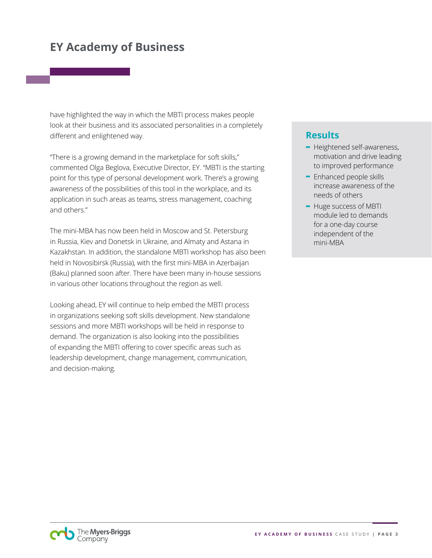## **EY Academy of Business**

have highlighted the way in which the MBTI process makes people look at their business and its associated personalities in a completely different and enlightened way.

"There is a growing demand in the marketplace for soft skills," commented Olga Beglova, Executive Director, EY. "MBTI is the starting point for this type of personal development work. There's a growing awareness of the possibilities of this tool in the workplace, and its application in such areas as teams, stress management, coaching and others."

The mini-MBA has now been held in Moscow and St. Petersburg in Russia, Kiev and Donetsk in Ukraine, and Almaty and Astana in Kazakhstan. In addition, the standalone MBTI workshop has also been held in Novosibirsk (Russia), with the first mini-MBA in Azerbaijan (Baku) planned soon after. There have been many in-house sessions in various other locations throughout the region as well.

Looking ahead, EY will continue to help embed the MBTI process in organizations seeking soft skills development. New standalone sessions and more MBTI workshops will be held in response to demand. The organization is also looking into the possibilities of expanding the MBTI offering to cover specific areas such as leadership development, change management, communication, and decision-making.

#### **Results**

- **-** Heightened self-awareness, motivation and drive leading to improved performance
- **-** Enhanced people skills increase awareness of the needs of others
- **-** Huge success of MBTI module led to demands for a one-day course independent of the mini-MBA